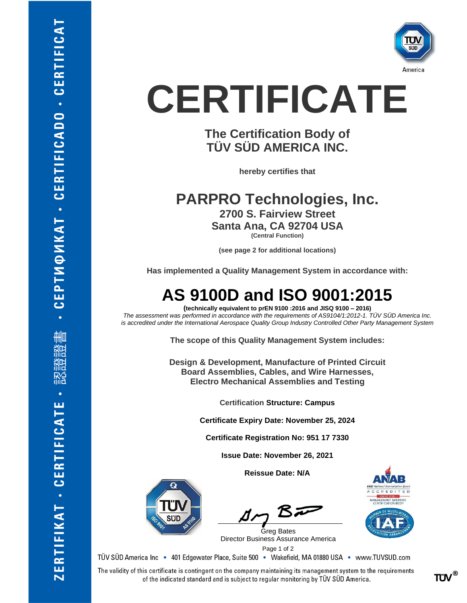

# **CERTIFICATE**

### **The Certification Body of TÜV SÜD AMERICA INC.**

**hereby certifies that**

**PARPRO Technologies, Inc. 2700 S. Fairview Street Santa Ana, CA 92704 USA (Central Function)**

**(see page 2 for additional locations)**

**Has implemented a Quality Management System in accordance with:**

### **AS 9100D and ISO 9001:2015**

**(technically equivalent to prEN 9100 :2016 and JISQ 9100 – 2016)** *The assessment was performed in accordance with the requirements of AS9104/1:2012-1. TÜV SÜD America Inc. is accredited under the International Aerospace Quality Group Industry Controlled Other Party Management System*

**The scope of this Quality Management System includes:**

**Design & Development, Manufacture of Printed Circuit Board Assemblies, Cables, and Wire Harnesses, Electro Mechanical Assemblies and Testing**

**Certification Structure: Campus**

**Certificate Expiry Date: November 25, 2024**

**Certificate Registration No: 951 17 7330**

**Issue Date: November 26, 2021**

**Reissue Date: N/A**

 Page <sup>1</sup> of <sup>2</sup> Greg Bates Director Business Assurance America



TÜV SÜD America Inc · 401 Edgewater Place, Suite 500 · Wakefield, MA 01880 USA · www.TUVSUD.com

The validity of this certificate is contingent on the company maintaining its management system to the requirements of the indicated standard and is subject to regular monitoring by TÜV SÜD America.